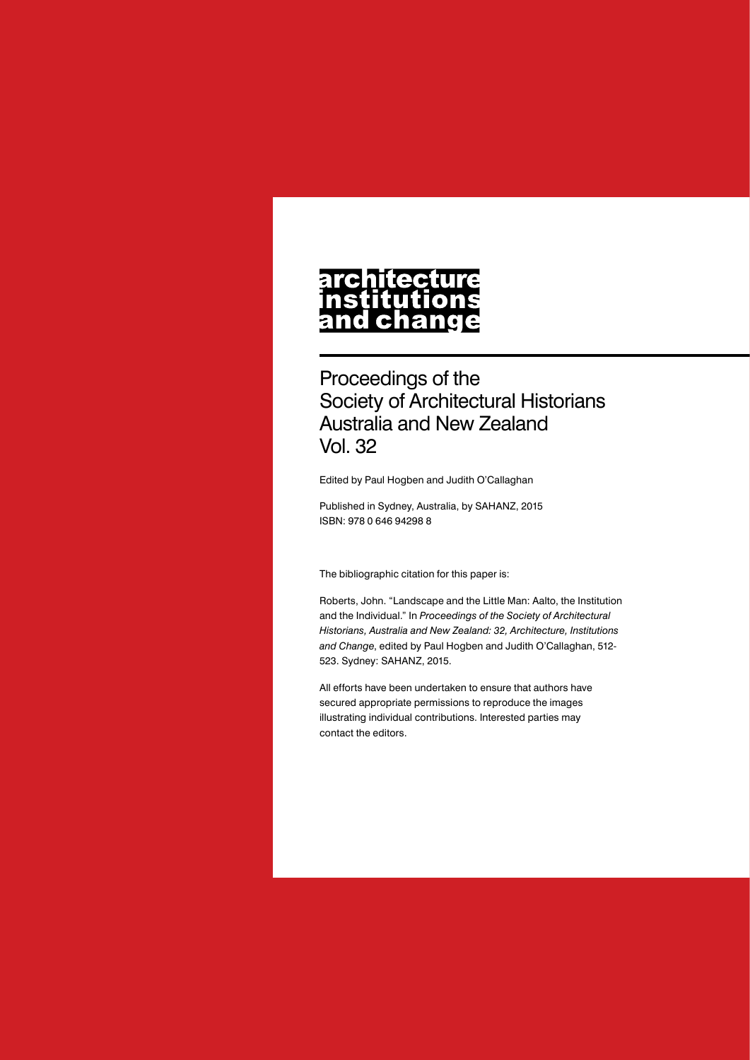# architecture nstitutions<br>and change

# Proceedings of the Society of Architectural Historians Australia and New Zealand Vol. 32

Edited by Paul Hogben and Judith O'Callaghan

Published in Sydney, Australia, by SAHANZ, 2015 ISBN: 978 0 646 94298 8

The bibliographic citation for this paper is:

Roberts, John. "Landscape and the Little Man: Aalto, the Institution and the Individual." In *Proceedings of the Society of Architectural Historians, Australia and New Zealand: 32, Architecture, Institutions and Change*, edited by Paul Hogben and Judith O'Callaghan, 512- 523. Sydney: SAHANZ, 2015.

All efforts have been undertaken to ensure that authors have secured appropriate permissions to reproduce the images illustrating individual contributions. Interested parties may contact the editors.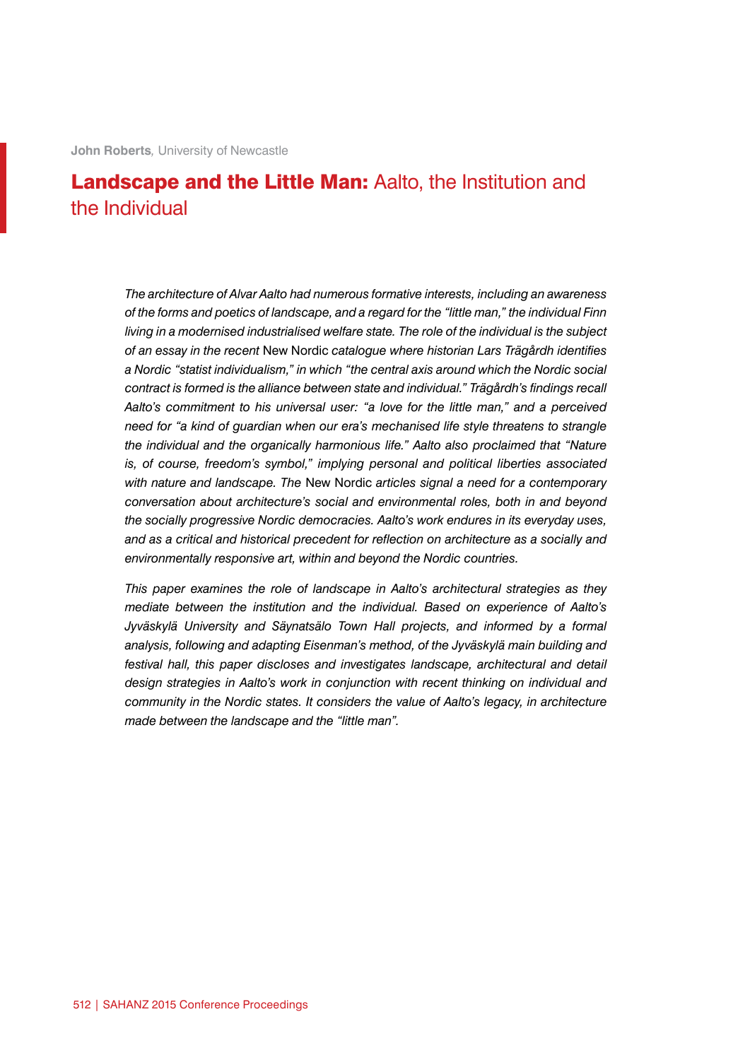# Landscape and the Little Man: Aalto, the Institution and the Individual

*The architecture of Alvar Aalto had numerous formative interests, including an awareness of the forms and poetics of landscape, and a regard for the "little man," the individual Finn living in a modernised industrialised welfare state. The role of the individual is the subject of an essay in the recent* New Nordic *catalogue where historian Lars Trägårdh identifies a Nordic "statist individualism," in which "the central axis around which the Nordic social contract is formed is the alliance between state and individual." Trägårdh's findings recall Aalto's commitment to his universal user: "a love for the little man," and a perceived need for "a kind of guardian when our era's mechanised life style threatens to strangle the individual and the organically harmonious life." Aalto also proclaimed that "Nature is, of course, freedom's symbol," implying personal and political liberties associated with nature and landscape. The* New Nordic *articles signal a need for a contemporary conversation about architecture's social and environmental roles, both in and beyond the socially progressive Nordic democracies. Aalto's work endures in its everyday uses, and as a critical and historical precedent for reflection on architecture as a socially and environmentally responsive art, within and beyond the Nordic countries.*

*This paper examines the role of landscape in Aalto's architectural strategies as they mediate between the institution and the individual. Based on experience of Aalto's Jyväskylä University and Säynatsälo Town Hall projects, and informed by a formal analysis, following and adapting Eisenman's method, of the Jyväskylä main building and festival hall, this paper discloses and investigates landscape, architectural and detail design strategies in Aalto's work in conjunction with recent thinking on individual and community in the Nordic states. It considers the value of Aalto's legacy, in architecture made between the landscape and the "little man".*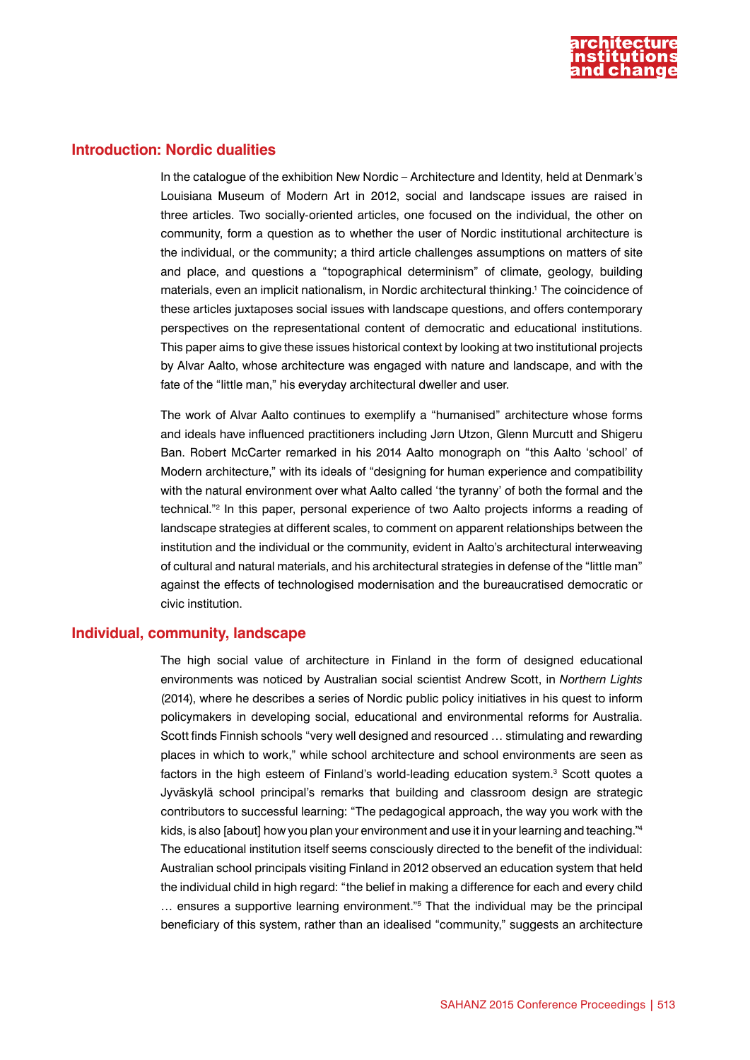

### **Introduction: Nordic dualities**

In the catalogue of the exhibition New Nordic – Architecture and Identity, held at Denmark's Louisiana Museum of Modern Art in 2012, social and landscape issues are raised in three articles. Two socially-oriented articles, one focused on the individual, the other on community, form a question as to whether the user of Nordic institutional architecture is the individual, or the community; a third article challenges assumptions on matters of site and place, and questions a "topographical determinism" of climate, geology, building materials, even an implicit nationalism, in Nordic architectural thinking.1 The coincidence of these articles juxtaposes social issues with landscape questions, and offers contemporary perspectives on the representational content of democratic and educational institutions. This paper aims to give these issues historical context by looking at two institutional projects by Alvar Aalto, whose architecture was engaged with nature and landscape, and with the fate of the "little man," his everyday architectural dweller and user.

The work of Alvar Aalto continues to exemplify a "humanised" architecture whose forms and ideals have influenced practitioners including Jørn Utzon, Glenn Murcutt and Shigeru Ban. Robert McCarter remarked in his 2014 Aalto monograph on "this Aalto 'school' of Modern architecture," with its ideals of "designing for human experience and compatibility with the natural environment over what Aalto called 'the tyranny' of both the formal and the technical."2 In this paper, personal experience of two Aalto projects informs a reading of landscape strategies at different scales, to comment on apparent relationships between the institution and the individual or the community, evident in Aalto's architectural interweaving of cultural and natural materials, and his architectural strategies in defense of the "little man" against the effects of technologised modernisation and the bureaucratised democratic or civic institution.

#### **Individual, community, landscape**

The high social value of architecture in Finland in the form of designed educational environments was noticed by Australian social scientist Andrew Scott, in *Northern Lights* (2014), where he describes a series of Nordic public policy initiatives in his quest to inform policymakers in developing social, educational and environmental reforms for Australia. Scott finds Finnish schools "very well designed and resourced … stimulating and rewarding places in which to work," while school architecture and school environments are seen as factors in the high esteem of Finland's world-leading education system.<sup>3</sup> Scott quotes a Jyväskylä school principal's remarks that building and classroom design are strategic contributors to successful learning: "The pedagogical approach, the way you work with the kids, is also [about] how you plan your environment and use it in your learning and teaching."4 The educational institution itself seems consciously directed to the benefit of the individual: Australian school principals visiting Finland in 2012 observed an education system that held the individual child in high regard: "the belief in making a difference for each and every child … ensures a supportive learning environment."5 That the individual may be the principal beneficiary of this system, rather than an idealised "community," suggests an architecture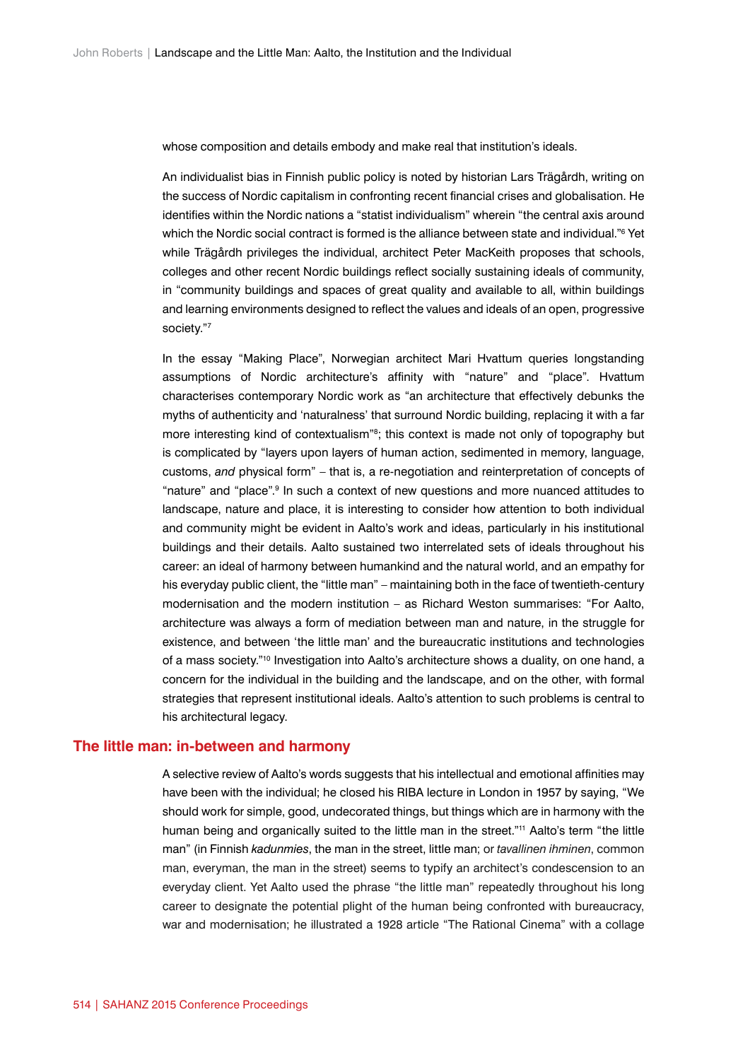whose composition and details embody and make real that institution's ideals.

An individualist bias in Finnish public policy is noted by historian Lars Trägårdh, writing on the success of Nordic capitalism in confronting recent financial crises and globalisation. He identifies within the Nordic nations a "statist individualism" wherein "the central axis around which the Nordic social contract is formed is the alliance between state and individual." $\rm ^{6}$  Yet while Trägårdh privileges the individual, architect Peter MacKeith proposes that schools, colleges and other recent Nordic buildings reflect socially sustaining ideals of community, in "community buildings and spaces of great quality and available to all, within buildings and learning environments designed to reflect the values and ideals of an open, progressive society."7

In the essay "Making Place", Norwegian architect Mari Hvattum queries longstanding assumptions of Nordic architecture's affinity with "nature" and "place". Hvattum characterises contemporary Nordic work as "an architecture that effectively debunks the myths of authenticity and 'naturalness' that surround Nordic building, replacing it with a far more interesting kind of contextualism<sup>78</sup>; this context is made not only of topography but is complicated by "layers upon layers of human action, sedimented in memory, language, customs, *and* physical form" – that is, a re-negotiation and reinterpretation of concepts of "nature" and "place".9 In such a context of new questions and more nuanced attitudes to landscape, nature and place, it is interesting to consider how attention to both individual and community might be evident in Aalto's work and ideas, particularly in his institutional buildings and their details. Aalto sustained two interrelated sets of ideals throughout his career: an ideal of harmony between humankind and the natural world, and an empathy for his everyday public client, the "little man" – maintaining both in the face of twentieth-century modernisation and the modern institution – as Richard Weston summarises: "For Aalto, architecture was always a form of mediation between man and nature, in the struggle for existence, and between 'the little man' and the bureaucratic institutions and technologies of a mass society."10 Investigation into Aalto's architecture shows a duality, on one hand, a concern for the individual in the building and the landscape, and on the other, with formal strategies that represent institutional ideals. Aalto's attention to such problems is central to his architectural legacy.

#### **The little man: in-between and harmony**

A selective review of Aalto's words suggests that his intellectual and emotional affinities may have been with the individual; he closed his RIBA lecture in London in 1957 by saying, "We should work for simple, good, undecorated things, but things which are in harmony with the human being and organically suited to the little man in the street."<sup>11</sup> Aalto's term "the little man" (in Finnish *kadunmies*, the man in the street, little man; or *tavallinen ihminen*, common man, everyman, the man in the street) seems to typify an architect's condescension to an everyday client. Yet Aalto used the phrase "the little man" repeatedly throughout his long career to designate the potential plight of the human being confronted with bureaucracy, war and modernisation; he illustrated a 1928 article "The Rational Cinema" with a collage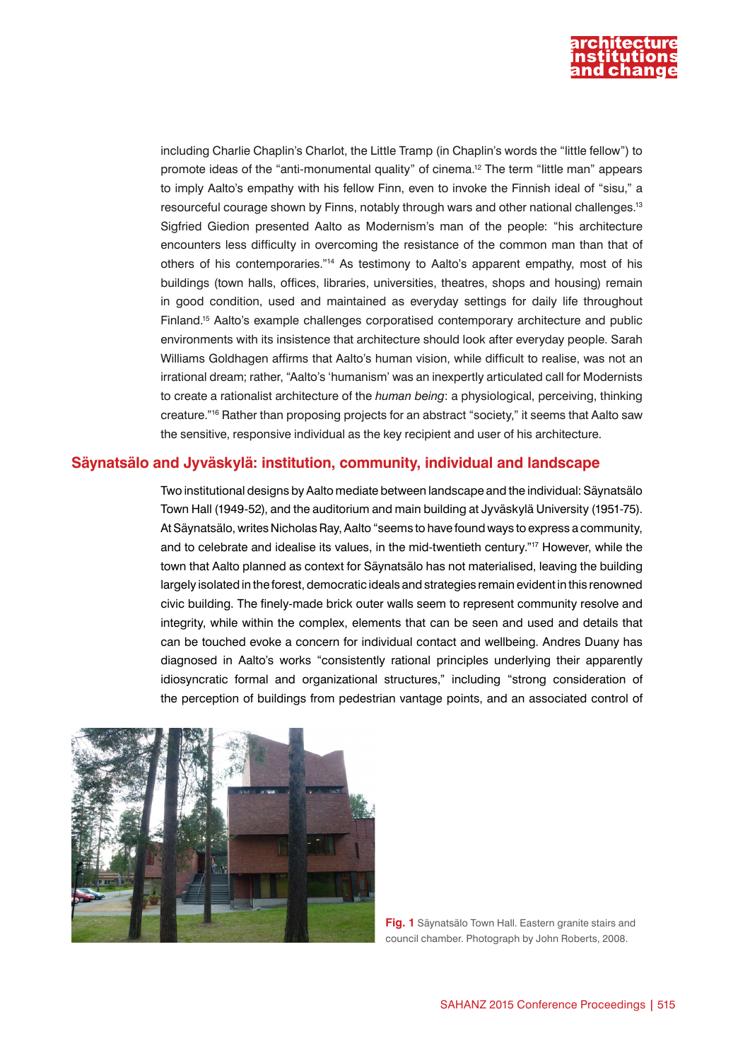

including Charlie Chaplin's Charlot, the Little Tramp (in Chaplin's words the "little fellow") to promote ideas of the "anti-monumental quality" of cinema.12 The term "little man" appears to imply Aalto's empathy with his fellow Finn, even to invoke the Finnish ideal of "sisu," a resourceful courage shown by Finns, notably through wars and other national challenges.13 Sigfried Giedion presented Aalto as Modernism's man of the people: "his architecture encounters less difficulty in overcoming the resistance of the common man than that of others of his contemporaries."14 As testimony to Aalto's apparent empathy, most of his buildings (town halls, offices, libraries, universities, theatres, shops and housing) remain in good condition, used and maintained as everyday settings for daily life throughout Finland.15 Aalto's example challenges corporatised contemporary architecture and public environments with its insistence that architecture should look after everyday people. Sarah Williams Goldhagen affirms that Aalto's human vision, while difficult to realise, was not an irrational dream; rather, "Aalto's 'humanism' was an inexpertly articulated call for Modernists to create a rationalist architecture of the *human being*: a physiological, perceiving, thinking creature."16 Rather than proposing projects for an abstract "society," it seems that Aalto saw the sensitive, responsive individual as the key recipient and user of his architecture.

## **Säynatsälo and Jyväskylä: institution, community, individual and landscape**

Two institutional designs by Aalto mediate between landscape and the individual: Säynatsälo Town Hall (1949-52), and the auditorium and main building at Jyväskylä University (1951-75). At Säynatsälo, writes Nicholas Ray, Aalto "seems to have found ways to express a community, and to celebrate and idealise its values, in the mid-twentieth century."17 However, while the town that Aalto planned as context for Säynatsälo has not materialised, leaving the building largely isolated in the forest, democratic ideals and strategies remain evident in this renowned civic building. The finely-made brick outer walls seem to represent community resolve and integrity, while within the complex, elements that can be seen and used and details that can be touched evoke a concern for individual contact and wellbeing. Andres Duany has diagnosed in Aalto's works "consistently rational principles underlying their apparently idiosyncratic formal and organizational structures," including "strong consideration of the perception of buildings from pedestrian vantage points, and an associated control of



**Fig. 1** Säynatsälo Town Hall. Eastern granite stairs and council chamber. Photograph by John Roberts, 2008.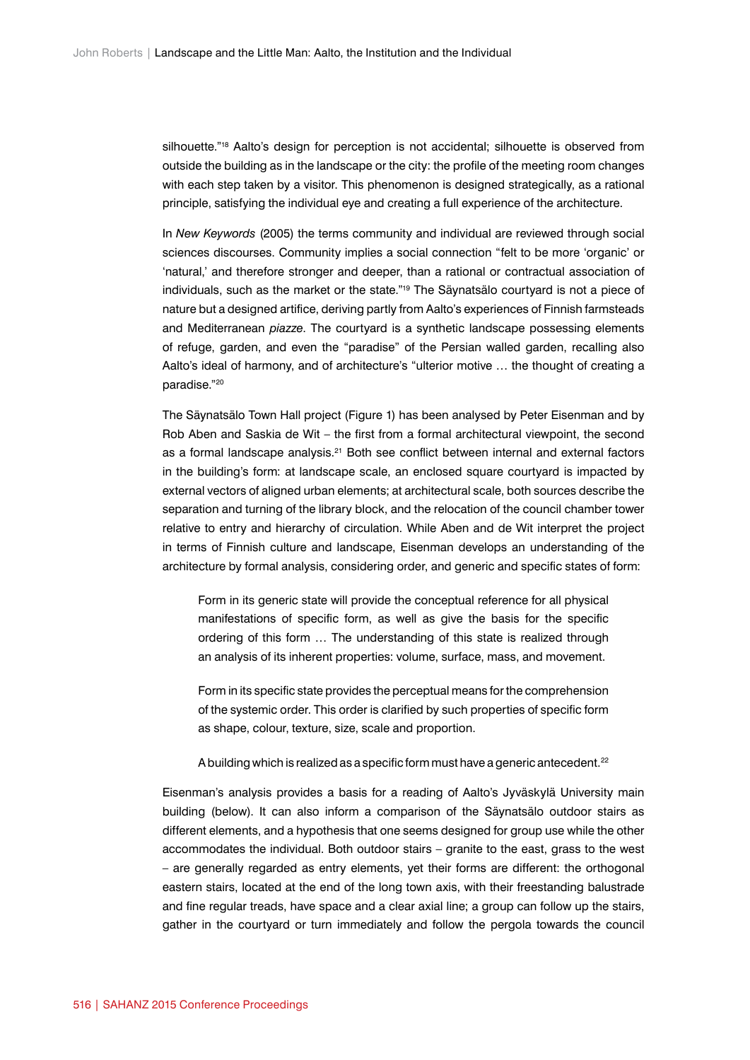silhouette."<sup>18</sup> Aalto's design for perception is not accidental; silhouette is observed from outside the building as in the landscape or the city: the profile of the meeting room changes with each step taken by a visitor. This phenomenon is designed strategically, as a rational principle, satisfying the individual eye and creating a full experience of the architecture.

In *New Keywords* (2005) the terms community and individual are reviewed through social sciences discourses. Community implies a social connection "felt to be more 'organic' or 'natural,' and therefore stronger and deeper, than a rational or contractual association of individuals, such as the market or the state."19 The Säynatsälo courtyard is not a piece of nature but a designed artifice, deriving partly from Aalto's experiences of Finnish farmsteads and Mediterranean *piazze*. The courtyard is a synthetic landscape possessing elements of refuge, garden, and even the "paradise" of the Persian walled garden, recalling also Aalto's ideal of harmony, and of architecture's "ulterior motive … the thought of creating a paradise."20

The Säynatsälo Town Hall project (Figure 1) has been analysed by Peter Eisenman and by Rob Aben and Saskia de Wit – the first from a formal architectural viewpoint, the second as a formal landscape analysis.<sup>21</sup> Both see conflict between internal and external factors in the building's form: at landscape scale, an enclosed square courtyard is impacted by external vectors of aligned urban elements; at architectural scale, both sources describe the separation and turning of the library block, and the relocation of the council chamber tower relative to entry and hierarchy of circulation. While Aben and de Wit interpret the project in terms of Finnish culture and landscape, Eisenman develops an understanding of the architecture by formal analysis, considering order, and generic and specific states of form:

Form in its generic state will provide the conceptual reference for all physical manifestations of specific form, as well as give the basis for the specific ordering of this form … The understanding of this state is realized through an analysis of its inherent properties: volume, surface, mass, and movement.

Form in its specific state provides the perceptual means for the comprehension of the systemic order. This order is clarified by such properties of specific form as shape, colour, texture, size, scale and proportion.

A building which is realized as a specific form must have a generic antecedent.<sup>22</sup>

Eisenman's analysis provides a basis for a reading of Aalto's Jyväskylä University main building (below). It can also inform a comparison of the Säynatsälo outdoor stairs as different elements, and a hypothesis that one seems designed for group use while the other accommodates the individual. Both outdoor stairs – granite to the east, grass to the west – are generally regarded as entry elements, yet their forms are different: the orthogonal eastern stairs, located at the end of the long town axis, with their freestanding balustrade and fine regular treads, have space and a clear axial line; a group can follow up the stairs, gather in the courtyard or turn immediately and follow the pergola towards the council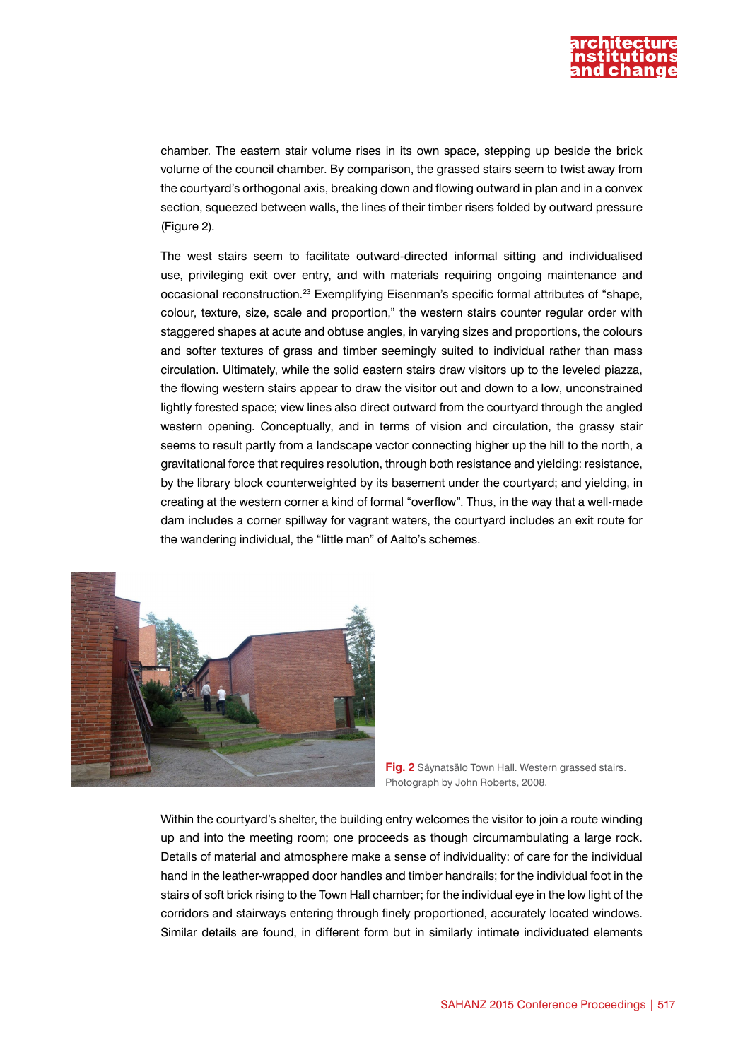

chamber. The eastern stair volume rises in its own space, stepping up beside the brick volume of the council chamber. By comparison, the grassed stairs seem to twist away from the courtyard's orthogonal axis, breaking down and flowing outward in plan and in a convex section, squeezed between walls, the lines of their timber risers folded by outward pressure (Figure 2).

The west stairs seem to facilitate outward-directed informal sitting and individualised use, privileging exit over entry, and with materials requiring ongoing maintenance and occasional reconstruction.23 Exemplifying Eisenman's specific formal attributes of "shape, colour, texture, size, scale and proportion," the western stairs counter regular order with staggered shapes at acute and obtuse angles, in varying sizes and proportions, the colours and softer textures of grass and timber seemingly suited to individual rather than mass circulation. Ultimately, while the solid eastern stairs draw visitors up to the leveled piazza, the flowing western stairs appear to draw the visitor out and down to a low, unconstrained lightly forested space; view lines also direct outward from the courtyard through the angled western opening. Conceptually, and in terms of vision and circulation, the grassy stair seems to result partly from a landscape vector connecting higher up the hill to the north, a gravitational force that requires resolution, through both resistance and yielding: resistance, by the library block counterweighted by its basement under the courtyard; and yielding, in creating at the western corner a kind of formal "overflow". Thus, in the way that a well-made dam includes a corner spillway for vagrant waters, the courtyard includes an exit route for the wandering individual, the "little man" of Aalto's schemes.



**Fig. 2** Säynatsälo Town Hall. Western grassed stairs. Photograph by John Roberts, 2008.

Within the courtyard's shelter, the building entry welcomes the visitor to join a route winding up and into the meeting room; one proceeds as though circumambulating a large rock. Details of material and atmosphere make a sense of individuality: of care for the individual hand in the leather-wrapped door handles and timber handrails; for the individual foot in the stairs of soft brick rising to the Town Hall chamber; for the individual eye in the low light of the corridors and stairways entering through finely proportioned, accurately located windows. Similar details are found, in different form but in similarly intimate individuated elements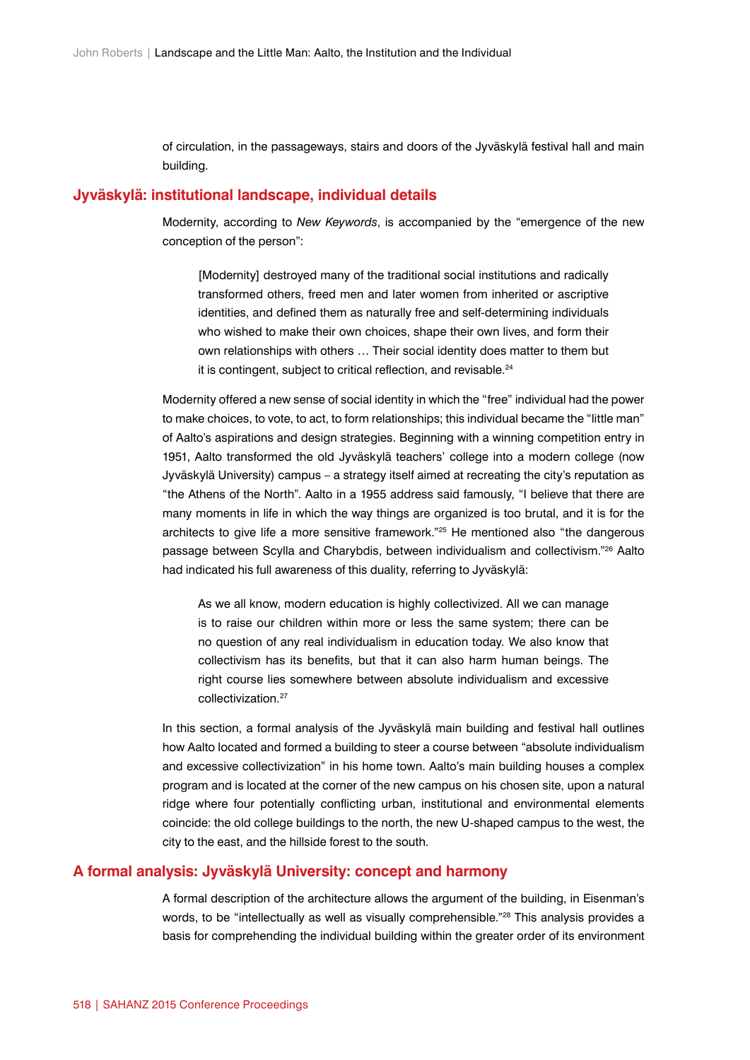of circulation, in the passageways, stairs and doors of the Jyväskylä festival hall and main building.

#### **Jyväskylä: institutional landscape, individual details**

Modernity, according to *New Keywords*, is accompanied by the "emergence of the new conception of the person":

[Modernity] destroyed many of the traditional social institutions and radically transformed others, freed men and later women from inherited or ascriptive identities, and defined them as naturally free and self-determining individuals who wished to make their own choices, shape their own lives, and form their own relationships with others … Their social identity does matter to them but it is contingent, subject to critical reflection, and revisable.<sup>24</sup>

Modernity offered a new sense of social identity in which the "free" individual had the power to make choices, to vote, to act, to form relationships; this individual became the "little man" of Aalto's aspirations and design strategies. Beginning with a winning competition entry in 1951, Aalto transformed the old Jyväskylä teachers' college into a modern college (now Jyväskylä University) campus – a strategy itself aimed at recreating the city's reputation as "the Athens of the North". Aalto in a 1955 address said famously, "I believe that there are many moments in life in which the way things are organized is too brutal, and it is for the architects to give life a more sensitive framework."25 He mentioned also "the dangerous passage between Scylla and Charybdis, between individualism and collectivism."26 Aalto had indicated his full awareness of this duality, referring to Jyväskylä:

As we all know, modern education is highly collectivized. All we can manage is to raise our children within more or less the same system; there can be no question of any real individualism in education today. We also know that collectivism has its benefits, but that it can also harm human beings. The right course lies somewhere between absolute individualism and excessive collectivization<sup>27</sup>

In this section, a formal analysis of the Jyväskylä main building and festival hall outlines how Aalto located and formed a building to steer a course between "absolute individualism and excessive collectivization" in his home town. Aalto's main building houses a complex program and is located at the corner of the new campus on his chosen site, upon a natural ridge where four potentially conflicting urban, institutional and environmental elements coincide: the old college buildings to the north, the new U-shaped campus to the west, the city to the east, and the hillside forest to the south.

#### **A formal analysis: Jyväskylä University: concept and harmony**

A formal description of the architecture allows the argument of the building, in Eisenman's words, to be "intellectually as well as visually comprehensible."<sup>28</sup> This analysis provides a basis for comprehending the individual building within the greater order of its environment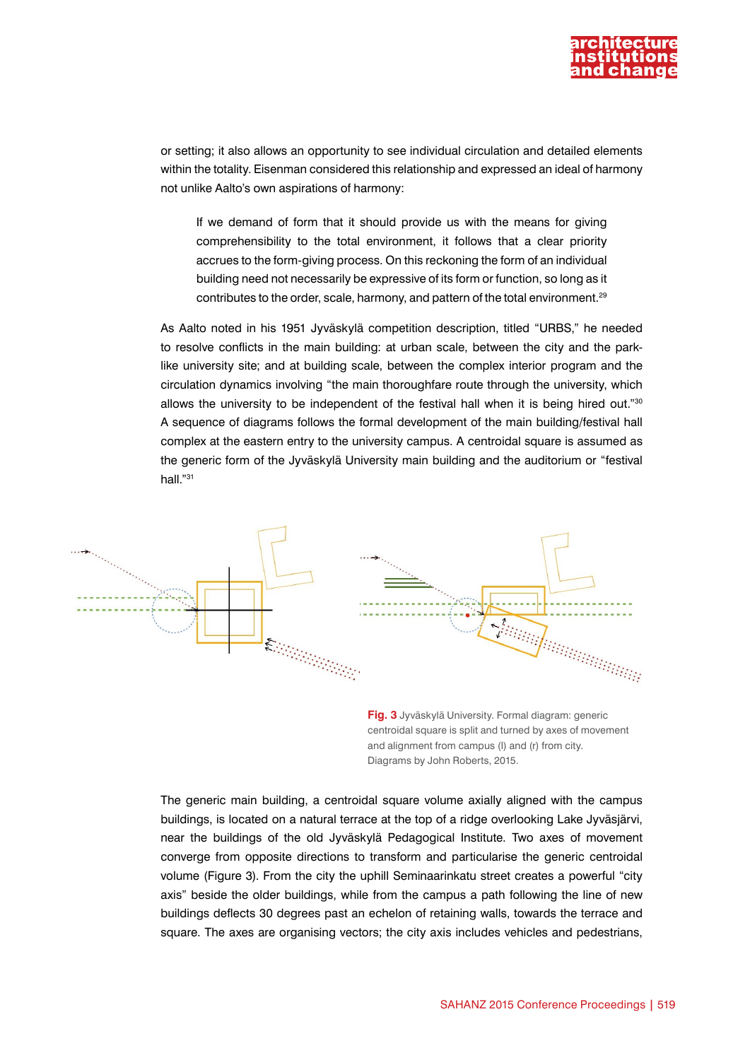

or setting; it also allows an opportunity to see individual circulation and detailed elements within the totality. Eisenman considered this relationship and expressed an ideal of harmony not unlike Aalto's own aspirations of harmony:

If we demand of form that it should provide us with the means for giving comprehensibility to the total environment, it follows that a clear priority accrues to the form-giving process. On this reckoning the form of an individual building need not necessarily be expressive of its form or function, so long as it contributes to the order, scale, harmony, and pattern of the total environment.29

As Aalto noted in his 1951 Jyväskylä competition description, titled "URBS," he needed to resolve conflicts in the main building: at urban scale, between the city and the parklike university site; and at building scale, between the complex interior program and the circulation dynamics involving "the main thoroughfare route through the university, which allows the university to be independent of the festival hall when it is being hired out."30 A sequence of diagrams follows the formal development of the main building/festival hall complex at the eastern entry to the university campus. A centroidal square is assumed as the generic form of the Jyväskylä University main building and the auditorium or "festival hall."31



**Fig. 3** Jyväskylä University. Formal diagram: generic centroidal square is split and turned by axes of movement and alignment from campus (l) and (r) from city. Diagrams by John Roberts, 2015.

The generic main building, a centroidal square volume axially aligned with the campus buildings, is located on a natural terrace at the top of a ridge overlooking Lake Jyväsjärvi, near the buildings of the old Jyväskylä Pedagogical Institute. Two axes of movement converge from opposite directions to transform and particularise the generic centroidal volume (Figure 3). From the city the uphill Seminaarinkatu street creates a powerful "city axis" beside the older buildings, while from the campus a path following the line of new buildings deflects 30 degrees past an echelon of retaining walls, towards the terrace and square. The axes are organising vectors; the city axis includes vehicles and pedestrians,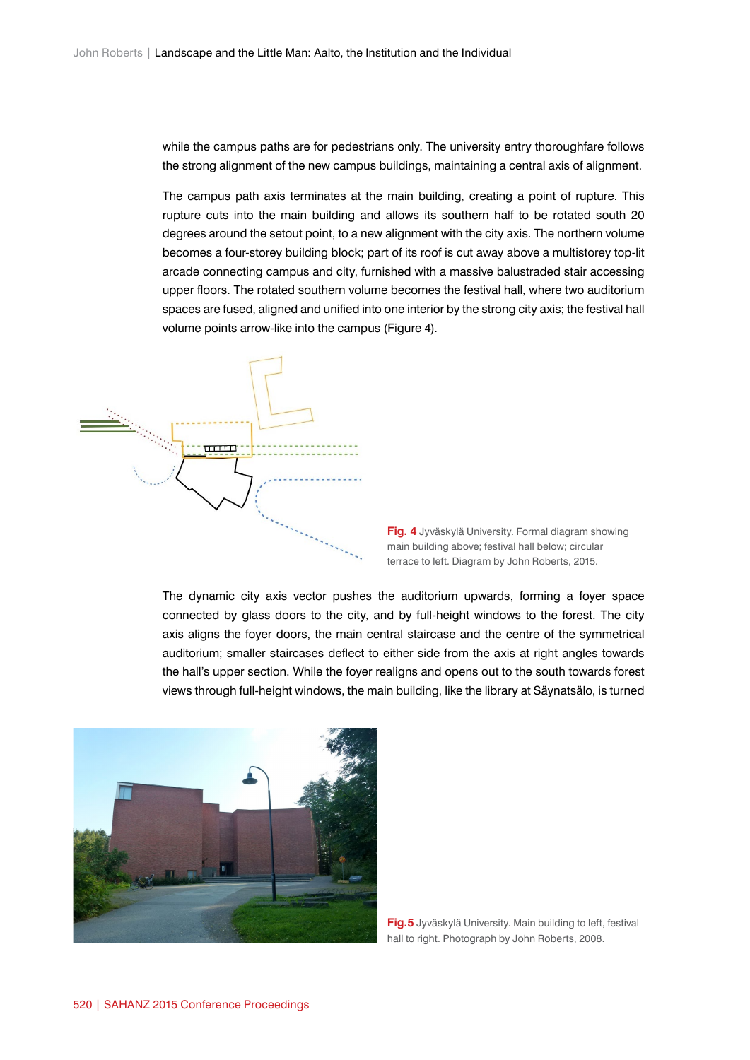while the campus paths are for pedestrians only. The university entry thoroughfare follows the strong alignment of the new campus buildings, maintaining a central axis of alignment.

The campus path axis terminates at the main building, creating a point of rupture. This rupture cuts into the main building and allows its southern half to be rotated south 20 degrees around the setout point, to a new alignment with the city axis. The northern volume becomes a four-storey building block; part of its roof is cut away above a multistorey top-lit arcade connecting campus and city, furnished with a massive balustraded stair accessing upper floors. The rotated southern volume becomes the festival hall, where two auditorium spaces are fused, aligned and unified into one interior by the strong city axis; the festival hall volume points arrow-like into the campus (Figure 4).



**Fig. 4** Jyväskylä University. Formal diagram showing main building above; festival hall below; circular terrace to left. Diagram by John Roberts, 2015.

The dynamic city axis vector pushes the auditorium upwards, forming a foyer space connected by glass doors to the city, and by full-height windows to the forest. The city axis aligns the foyer doors, the main central staircase and the centre of the symmetrical auditorium; smaller staircases deflect to either side from the axis at right angles towards the hall's upper section. While the foyer realigns and opens out to the south towards forest views through full-height windows, the main building, like the library at Säynatsälo, is turned



**Fig.5** Jyväskylä University. Main building to left, festival hall to right. Photograph by John Roberts, 2008.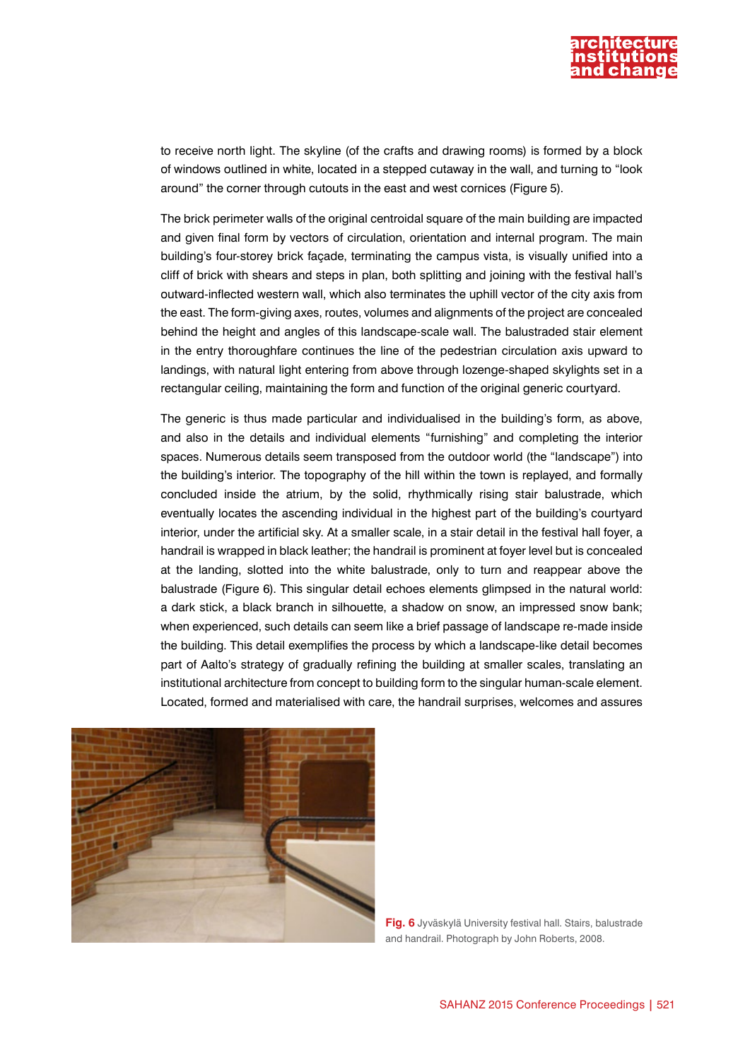

to receive north light. The skyline (of the crafts and drawing rooms) is formed by a block of windows outlined in white, located in a stepped cutaway in the wall, and turning to "look around" the corner through cutouts in the east and west cornices (Figure 5).

The brick perimeter walls of the original centroidal square of the main building are impacted and given final form by vectors of circulation, orientation and internal program. The main building's four-storey brick façade, terminating the campus vista, is visually unified into a cliff of brick with shears and steps in plan, both splitting and joining with the festival hall's outward-inflected western wall, which also terminates the uphill vector of the city axis from the east. The form-giving axes, routes, volumes and alignments of the project are concealed behind the height and angles of this landscape-scale wall. The balustraded stair element in the entry thoroughfare continues the line of the pedestrian circulation axis upward to landings, with natural light entering from above through lozenge-shaped skylights set in a rectangular ceiling, maintaining the form and function of the original generic courtyard.

The generic is thus made particular and individualised in the building's form, as above, and also in the details and individual elements "furnishing" and completing the interior spaces. Numerous details seem transposed from the outdoor world (the "landscape") into the building's interior. The topography of the hill within the town is replayed, and formally concluded inside the atrium, by the solid, rhythmically rising stair balustrade, which eventually locates the ascending individual in the highest part of the building's courtyard interior, under the artificial sky. At a smaller scale, in a stair detail in the festival hall foyer, a handrail is wrapped in black leather; the handrail is prominent at foyer level but is concealed at the landing, slotted into the white balustrade, only to turn and reappear above the balustrade (Figure 6). This singular detail echoes elements glimpsed in the natural world: a dark stick, a black branch in silhouette, a shadow on snow, an impressed snow bank; when experienced, such details can seem like a brief passage of landscape re-made inside the building. This detail exemplifies the process by which a landscape-like detail becomes part of Aalto's strategy of gradually refining the building at smaller scales, translating an institutional architecture from concept to building form to the singular human-scale element. Located, formed and materialised with care, the handrail surprises, welcomes and assures



**Fig. 6** Jyväskylä University festival hall. Stairs, balustrade and handrail. Photograph by John Roberts, 2008.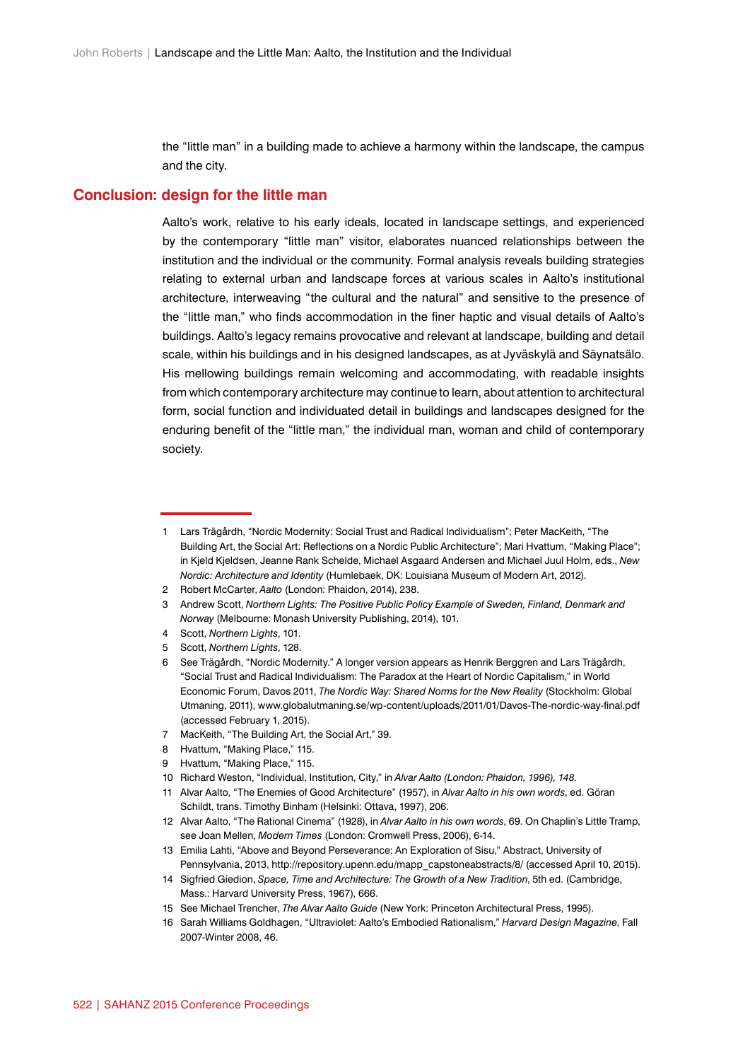the "little man" in a building made to achieve a harmony within the landscape, the campus and the city.

#### **Conclusion: design for the little man**

Aalto's work, relative to his early ideals, located in landscape settings, and experienced by the contemporary "little man" visitor, elaborates nuanced relationships between the institution and the individual or the community. Formal analysis reveals building strategies relating to external urban and landscape forces at various scales in Aalto's institutional architecture, interweaving "the cultural and the natural" and sensitive to the presence of the "little man," who finds accommodation in the finer haptic and visual details of Aalto's buildings. Aalto's legacy remains provocative and relevant at landscape, building and detail scale, within his buildings and in his designed landscapes, as at Jyväskylä and Säynatsälo. His mellowing buildings remain welcoming and accommodating, with readable insights from which contemporary architecture may continue to learn, about attention to architectural form, social function and individuated detail in buildings and landscapes designed for the enduring benefit of the "little man," the individual man, woman and child of contemporary society.

- 3 Andrew Scott, *Northern Lights: The Positive Public Policy Example of Sweden, Finland, Denmark and Norway* (Melbourne: Monash University Publishing, 2014), 101.
- 4 Scott, *Northern Lights*, 101.
- 5 Scott, *Northern Lights*, 128.

- 7 MacKeith, "The Building Art, the Social Art," 39.
- 8 Hvattum, "Making Place," 115.
- 9 Hvattum, "Making Place," 115.
- 10 Richard Weston, "Individual, Institution, City," in *Alvar Aalto (London: Phaidon, 1996), 148.*
- 11 Alvar Aalto, "The Enemies of Good Architecture" (1957), in *Alvar Aalto in his own words*, ed. Göran Schildt, trans. Timothy Binham (Helsinki: Ottava, 1997), 206.
- 12 Alvar Aalto, "The Rational Cinema" (1928), in *Alvar Aalto in his own words*, 69. On Chaplin's Little Tramp, see Joan Mellen, *Modern Times* (London: Cromwell Press, 2006), 6-14.
- 13 Emilia Lahti, "Above and Beyond Perseverance: An Exploration of Sisu," Abstract, University of Pennsylvania, 2013, [http://repository.upenn.edu/mapp\\_capstoneabstracts/8/](http://repository.upenn.edu/mapp_capstoneabstracts/8/) (accessed April 10, 2015).
- 14 Sigfried Giedion, *Space, Time and Architecture: The Growth of a New Tradition*, 5th ed. (Cambridge, Mass.: Harvard University Press, 1967), 666.
- 15 See Michael Trencher, *The Alvar Aalto Guide* (New York: Princeton Architectural Press, 1995).
- 16 Sarah Williams Goldhagen, "Ultraviolet: Aalto's Embodied Rationalism," *Harvard Design Magazine*, Fall 2007-Winter 2008, 46.

<sup>1</sup> Lars Trägårdh, "Nordic Modernity: Social Trust and Radical Individualism"; Peter MacKeith, "The Building Art, the Social Art: Reflections on a Nordic Public Architecture"; Mari Hvattum, "Making Place"; in Kjeld Kjeldsen, Jeanne Rank Schelde, Michael Asgaard Andersen and Michael Juul Holm, eds., *New Nordic: Architecture and Identity* (Humlebaek, DK: Louisiana Museum of Modern Art, 2012).

<sup>2</sup> Robert McCarter, *Aalto* (London: Phaidon, 2014), 238.

<sup>6</sup> See Trägårdh, "Nordic Modernity." A longer version appears as Henrik Berggren and Lars Trägårdh, "Social Trust and Radical Individualism: The Paradox at the Heart of Nordic Capitalism," in World Economic Forum, Davos 2011, *The Nordic Way: Shared Norms for the New Reality* (Stockholm: Global Utmaning, 2011), [www.globalutmaning.se/wp-content/uploads/2011/01/Davos-The-nordic-way-final.pdf](http://www.globalutmaning.se/wp-content/uploads/2011/01/Davos-The-nordic-way-final.pdf) (accessed February 1, 2015).